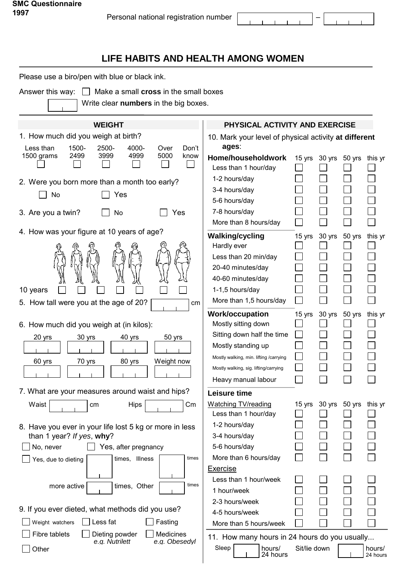$\mathbf{r}$  $\mathbf{r}$ 

 $\mathbf{r}$ 

## **LIFE HABITS AND HEALTH AMONG WOMEN**

Please use a biro/pen with blue or black ink.

Answer this way:  $\Box$  Make a small **cross** in the small boxes

Write clear **numbers** in the big boxes.

| <b>WEIGHT</b>                                           | PHYSICAL ACTIVITY AND EXERCISE                    |                                                       |
|---------------------------------------------------------|---------------------------------------------------|-------------------------------------------------------|
| 1. How much did you weigh at birth?                     |                                                   | 10. Mark your level of physical activity at different |
| Less than<br>1500-<br>2500-<br>4000-<br>Over<br>Don't   | ages:                                             |                                                       |
| 2499<br>3999<br>1500 grams<br>4999<br>5000<br>know      | Home/householdwork<br>Less than 1 hour/day        | 15 yrs 30 yrs<br>50 yrs<br>this yr                    |
| 2. Were you born more than a month too early?           | 1-2 hours/day                                     |                                                       |
| Yes<br>No                                               | 3-4 hours/day                                     |                                                       |
|                                                         | 5-6 hours/day                                     |                                                       |
| 3. Are you a twin?<br>No<br>Yes                         | 7-8 hours/day                                     |                                                       |
|                                                         | More than 8 hours/day                             |                                                       |
| 4. How was your figure at 10 years of age?              | <b>Walking/cycling</b>                            | 30 yrs<br>15 yrs<br>50 yrs<br>this yr                 |
|                                                         | Hardly ever                                       |                                                       |
|                                                         | Less than 20 min/day                              |                                                       |
|                                                         | 20-40 minutes/day                                 |                                                       |
|                                                         | 40-60 minutes/day                                 |                                                       |
| 10 years                                                | 1-1,5 hours/day                                   |                                                       |
| 5. How tall were you at the age of 20?<br>cm            | More than 1,5 hours/day                           |                                                       |
|                                                         | <b>Work/occupation</b>                            | 15 yrs<br>30 yrs<br>this yr<br>50 yrs                 |
| 6. How much did you weigh at (in kilos):                | Mostly sitting down<br>Sitting down half the time |                                                       |
| 50 yrs<br>20 yrs<br>30 yrs<br>40 yrs                    | Mostly standing up                                |                                                       |
|                                                         | Mostly walking, min. lifting /carrying            |                                                       |
| 80 yrs<br>Weight now<br>60 yrs<br>70 yrs                | Mostly walking, sig. lifting/carrying             |                                                       |
|                                                         | Heavy manual labour                               |                                                       |
| 7. What are your measures around waist and hips?        | Leisure time                                      |                                                       |
| Waist                                                   | <b>Watching TV/reading</b>                        | 30 yrs<br>50 yrs                                      |
| <b>Hips</b><br>$\,$ Cm<br>сm                            | Less than 1 hour/day                              | 15 yrs<br>this yr                                     |
| 8. Have you ever in your life lost 5 kg or more in less | 1-2 hours/day                                     | ــــا<br>لــــا<br>ىــا                               |
| than 1 year? If yes, why?                               | 3-4 hours/day                                     |                                                       |
| No, never<br>Yes, after pregnancy                       | 5-6 hours/day                                     |                                                       |
| times<br>times, Illness<br>Yes, due to dieting          | More than 6 hours/day                             |                                                       |
|                                                         | <b>Exercise</b>                                   |                                                       |
| times<br>times, Other<br>more active                    | Less than 1 hour/week                             |                                                       |
|                                                         | 1 hour/week                                       |                                                       |
| 9. If you ever dieted, what methods did you use?        | 2-3 hours/week                                    |                                                       |
| Less fat<br>Weight watchers<br>Fasting                  | 4-5 hours/week                                    |                                                       |
| <b>Medicines</b><br>Fibre tablets<br>Dieting powder     | More than 5 hours/week                            |                                                       |
| e.g. Nutrilett<br>e.g. Obesedyl                         |                                                   | 11. How many hours in 24 hours do you usually         |
| Other                                                   | Sleep<br>hours/<br>24 hours                       | Sit/lie down<br>hours/<br>24 hours                    |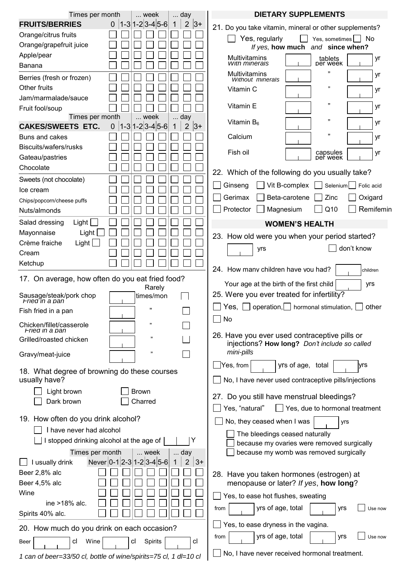| Times per month                                                             |                | week                                                 | day                                         | <b>DIETARY SUPPLEMENTS</b>                                  |
|-----------------------------------------------------------------------------|----------------|------------------------------------------------------|---------------------------------------------|-------------------------------------------------------------|
| <b>FRUITS/BERRIES</b>                                                       | $\overline{0}$ | $ 1-3 1-2 3-4 5-6 $                                  | $ 3+$<br>$\overline{2}$<br>1                | 21. Do you take vitamin, mineral or other supplements?      |
| Orange/citrus fruits                                                        |                |                                                      |                                             | Yes, regularly<br>  No<br>Yes, sometimes                    |
| Orange/grapefruit juice                                                     |                |                                                      |                                             | If yes, how much<br>and since when?                         |
| Apple/pear                                                                  |                |                                                      |                                             | Multivitamins<br>yr                                         |
| Banana                                                                      |                |                                                      |                                             | tablets<br>per week<br>With minerals<br>,,                  |
| Berries (fresh or frozen)                                                   |                |                                                      |                                             | Multivitamins<br>yr<br><b>Without minerals</b>              |
| Other fruits                                                                |                |                                                      |                                             | ,,<br>Vitamin C<br>yr                                       |
| Jam/marmalade/sauce                                                         |                |                                                      |                                             |                                                             |
| Fruit fool/soup                                                             |                |                                                      |                                             | ,,<br>Vitamin E<br>yr                                       |
| Times per month                                                             |                | week                                                 | day                                         | ,,<br>Vitamin $B_6$<br>yr                                   |
| <b>CAKES/SWEETS ETC.</b>                                                    | 0              | $1-3 1-2 3-4 5-6$                                    | $\overline{2}$<br>$ 3+$<br>1                | ,,                                                          |
| Buns and cakes                                                              |                |                                                      |                                             | Calcium<br>yr                                               |
| Biscuits/wafers/rusks                                                       |                |                                                      |                                             | Fish oil<br>capsules<br>yr                                  |
| Gateau/pastries                                                             |                |                                                      |                                             | per week                                                    |
| Chocolate                                                                   |                |                                                      |                                             | 22. Which of the following do you usually take?             |
| Sweets (not chocolate)                                                      |                |                                                      |                                             | Vit B-complex<br>Ginseng<br>Selenium<br>Folic acid          |
| Ice cream                                                                   |                |                                                      |                                             |                                                             |
| Chips/popcorn/cheese puffs                                                  |                |                                                      |                                             | Beta-carotene<br>Zinc<br>Gerimax<br>Oxigard                 |
| Nuts/almonds                                                                |                |                                                      |                                             | Remifemin<br>Q <sub>10</sub><br>Protector<br>Magnesium      |
| Light<br>Salad dressing                                                     |                |                                                      |                                             | <b>WOMEN'S HEALTH</b>                                       |
| Mayonnaise<br>Light                                                         |                |                                                      |                                             | 23. How old were you when your period started?              |
| Light $\Box$<br>Crème fraiche                                               |                |                                                      |                                             | don't know<br>yrs                                           |
| Cream                                                                       |                |                                                      |                                             |                                                             |
| Ketchup                                                                     |                |                                                      |                                             | 24. How many children have you had?                         |
| 17. On average, how often do you eat fried food?                            |                |                                                      |                                             | children                                                    |
|                                                                             |                | Rarely                                               |                                             | Your age at the birth of the first child<br>yrs             |
| Sausage/steak/pork chop<br>Fried in a pan                                   |                | times/mon                                            |                                             | 25. Were you ever treated for infertility?                  |
| Fish fried in a pan                                                         |                | ,,                                                   |                                             | $Yes, \lbrack$ operation,   hormonal stimulation,<br>other  |
|                                                                             |                |                                                      |                                             | No                                                          |
| Chicken/fillet/casserole<br>Fried in a pan                                  |                | 33                                                   |                                             |                                                             |
| Grilled/roasted chicken                                                     |                |                                                      |                                             | 26. Have you ever used contraceptive pills or               |
| Gravy/meat-juice                                                            |                | ,,                                                   |                                             | injections? How long? Don't include so called<br>mini-pills |
|                                                                             |                |                                                      |                                             | Yes, from<br>yrs of age, total<br>yrs                       |
| 18. What degree of browning do these courses<br>usually have?               |                | No, I have never used contraceptive pills/injections |                                             |                                                             |
| Light brown                                                                 |                | <b>Brown</b>                                         |                                             |                                                             |
| Dark brown                                                                  |                | Charred                                              |                                             | 27. Do you still have menstrual bleedings?                  |
|                                                                             |                |                                                      |                                             | Yes, "natural"<br>Yes, due to hormonal treatment            |
| 19. How often do you drink alcohol?                                         |                |                                                      |                                             | No, they ceased when I was<br>yrs                           |
| I have never had alcohol                                                    |                | The bleedings ceased naturally                       |                                             |                                                             |
| Y<br>I stopped drinking alcohol at the age of                               |                | because my ovaries were removed surgically           |                                             |                                                             |
| because my womb was removed surgically<br>Times per month<br>$$ day<br>week |                |                                                      |                                             |                                                             |
| I usually drink                                                             |                | Never 0-12-3 1-2 3-4 5-6                             | $3+$<br>$\overline{2}$                      |                                                             |
| Beer 2,8% alc                                                               |                |                                                      |                                             | 28. Have you taken hormones (estrogen) at                   |
| Beer 4,5% alc                                                               |                |                                                      |                                             | menopause or later? If yes, how long?                       |
| Wine                                                                        |                |                                                      |                                             | Yes, to ease hot flushes, sweating                          |
| Strong wine >18% alc.                                                       |                |                                                      |                                             |                                                             |
| Spirits 40% alc.                                                            |                |                                                      |                                             | yrs of age, total<br>yrs<br>from<br>Use now                 |
| 20. How much do you drink on each occasion?                                 |                | Yes, to ease dryness in the vagina.                  |                                             |                                                             |
| Wine<br>Spirits<br>cl<br>cl<br><sub>cl</sub><br>Beer                        |                |                                                      | yrs of age, total<br>from<br>yrs<br>Use now |                                                             |
| 1 can of beer=33/50 cl, bottle of wine/spirits=75 cl, 1 dl=10 cl            |                |                                                      |                                             | No, I have never received hormonal treatment.               |